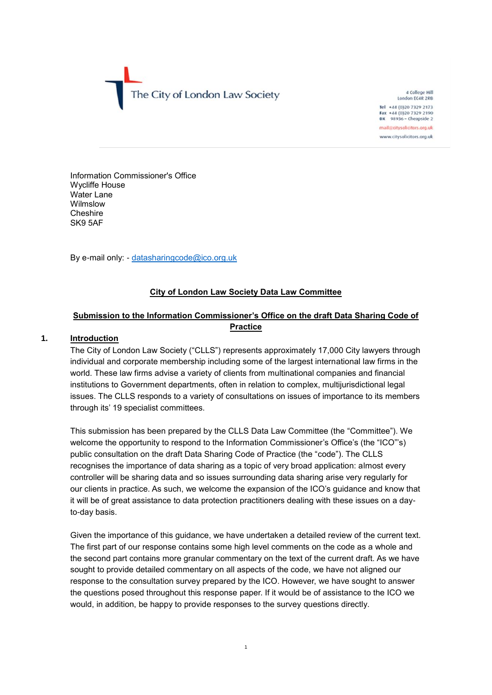The City of London Law Society

4 College Hill London EC4R 2RB Tel +44 (0)20 7329 2173 Fax +44 (0)20 7329 2190<br>DX 98936 - Cheapside 2 mail@citysolicitors.org.uk www.citysolicitors.org.uk

Information Commissioner's Office Wycliffe House Water Lane Wilmslow **Cheshire** SK9 5AF

By e-mail only: - [datasharingcode@ico.org.uk](mailto:datasharingcode@ico.org.uk)

# **City of London Law Society Data Law Committee**

# **Submission to the Information Commissioner's Office on the draft Data Sharing Code of Practice**

## **1. Introduction**

The City of London Law Society ("CLLS") represents approximately 17,000 City lawyers through individual and corporate membership including some of the largest international law firms in the world. These law firms advise a variety of clients from multinational companies and financial institutions to Government departments, often in relation to complex, multijurisdictional legal issues. The CLLS responds to a variety of consultations on issues of importance to its members through its' 19 specialist committees.

This submission has been prepared by the CLLS Data Law Committee (the "Committee"). We welcome the opportunity to respond to the Information Commissioner's Office's (the "ICO"'s) public consultation on the draft Data Sharing Code of Practice (the "code"). The CLLS recognises the importance of data sharing as a topic of very broad application: almost every controller will be sharing data and so issues surrounding data sharing arise very regularly for our clients in practice. As such, we welcome the expansion of the ICO's guidance and know that it will be of great assistance to data protection practitioners dealing with these issues on a dayto-day basis.

Given the importance of this guidance, we have undertaken a detailed review of the current text. The first part of our response contains some high level comments on the code as a whole and the second part contains more granular commentary on the text of the current draft. As we have sought to provide detailed commentary on all aspects of the code, we have not aligned our response to the consultation survey prepared by the ICO. However, we have sought to answer the questions posed throughout this response paper. If it would be of assistance to the ICO we would, in addition, be happy to provide responses to the survey questions directly.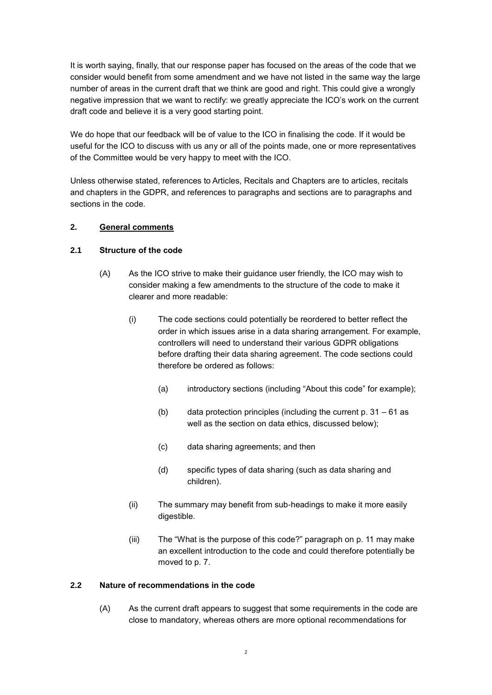It is worth saying, finally, that our response paper has focused on the areas of the code that we consider would benefit from some amendment and we have not listed in the same way the large number of areas in the current draft that we think are good and right. This could give a wrongly negative impression that we want to rectify: we greatly appreciate the ICO's work on the current draft code and believe it is a very good starting point.

We do hope that our feedback will be of value to the ICO in finalising the code. If it would be useful for the ICO to discuss with us any or all of the points made, one or more representatives of the Committee would be very happy to meet with the ICO.

Unless otherwise stated, references to Articles, Recitals and Chapters are to articles, recitals and chapters in the GDPR, and references to paragraphs and sections are to paragraphs and sections in the code.

### **2. General comments**

## **2.1 Structure of the code**

- (A) As the ICO strive to make their guidance user friendly, the ICO may wish to consider making a few amendments to the structure of the code to make it clearer and more readable:
	- (i) The code sections could potentially be reordered to better reflect the order in which issues arise in a data sharing arrangement. For example, controllers will need to understand their various GDPR obligations before drafting their data sharing agreement. The code sections could therefore be ordered as follows:
		- (a) introductory sections (including "About this code" for example);
		- (b) data protection principles (including the current p. 31 61 as well as the section on data ethics, discussed below);
		- (c) data sharing agreements; and then
		- (d) specific types of data sharing (such as data sharing and children).
	- (ii) The summary may benefit from sub-headings to make it more easily digestible.
	- (iii) The "What is the purpose of this code?" paragraph on p. 11 may make an excellent introduction to the code and could therefore potentially be moved to p. 7.

### **2.2 Nature of recommendations in the code**

(A) As the current draft appears to suggest that some requirements in the code are close to mandatory, whereas others are more optional recommendations for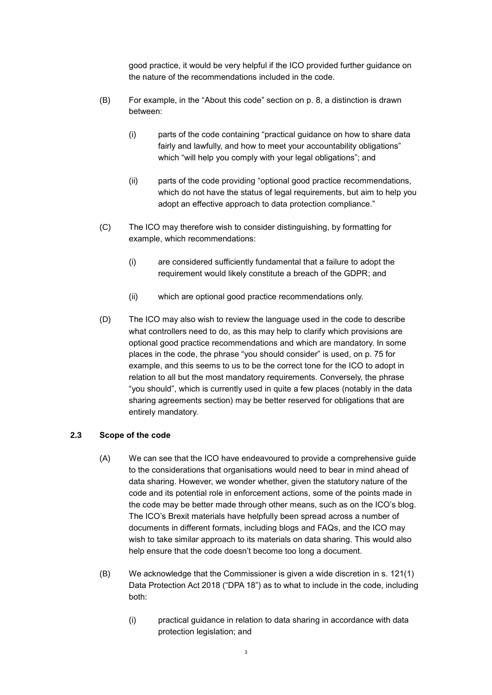good practice, it would be very helpful if the ICO provided further guidance on the nature of the recommendations included in the code.

- (B) For example, in the "About this code" section on p. 8, a distinction is drawn between:
	- (i) parts of the code containing "practical guidance on how to share data fairly and lawfully, and how to meet your accountability obligations" which "will help you comply with your legal obligations"; and
	- (ii) parts of the code providing "optional good practice recommendations, which do not have the status of legal requirements, but aim to help you adopt an effective approach to data protection compliance."
- (C) The ICO may therefore wish to consider distinguishing, by formatting for example, which recommendations:
	- (i) are considered sufficiently fundamental that a failure to adopt the requirement would likely constitute a breach of the GDPR; and
	- (ii) which are optional good practice recommendations only.
- (D) The ICO may also wish to review the language used in the code to describe what controllers need to do, as this may help to clarify which provisions are optional good practice recommendations and which are mandatory. In some places in the code, the phrase "you should consider" is used, on p. 75 for example, and this seems to us to be the correct tone for the ICO to adopt in relation to all but the most mandatory requirements. Conversely, the phrase "you should", which is currently used in quite a few places (notably in the data sharing agreements section) may be better reserved for obligations that are entirely mandatory.

### **2.3 Scope of the code**

- (A) We can see that the ICO have endeavoured to provide a comprehensive guide to the considerations that organisations would need to bear in mind ahead of data sharing. However, we wonder whether, given the statutory nature of the code and its potential role in enforcement actions, some of the points made in the code may be better made through other means, such as on the ICO's blog. The ICO's Brexit materials have helpfully been spread across a number of documents in different formats, including blogs and FAQs, and the ICO may wish to take similar approach to its materials on data sharing. This would also help ensure that the code doesn't become too long a document.
- (B) We acknowledge that the Commissioner is given a wide discretion in s. 121(1) Data Protection Act 2018 ("DPA 18") as to what to include in the code, including both:
	- (i) practical guidance in relation to data sharing in accordance with data protection legislation; and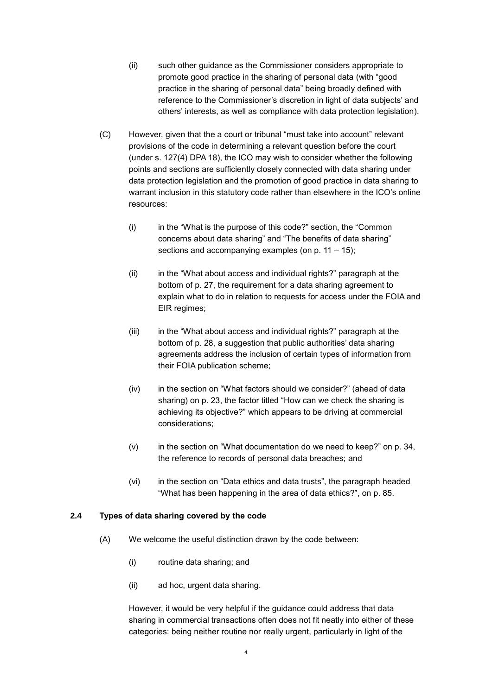- (ii) such other guidance as the Commissioner considers appropriate to promote good practice in the sharing of personal data (with "good practice in the sharing of personal data" being broadly defined with reference to the Commissioner's discretion in light of data subjects' and others' interests, as well as compliance with data protection legislation).
- (C) However, given that the a court or tribunal "must take into account" relevant provisions of the code in determining a relevant question before the court (under s. 127(4) DPA 18), the ICO may wish to consider whether the following points and sections are sufficiently closely connected with data sharing under data protection legislation and the promotion of good practice in data sharing to warrant inclusion in this statutory code rather than elsewhere in the ICO's online resources:
	- (i) in the "What is the purpose of this code?" section, the "Common concerns about data sharing" and "The benefits of data sharing" sections and accompanying examples (on p. 11 – 15);
	- (ii) in the "What about access and individual rights?" paragraph at the bottom of p. 27, the requirement for a data sharing agreement to explain what to do in relation to requests for access under the FOIA and EIR regimes;
	- (iii) in the "What about access and individual rights?" paragraph at the bottom of p. 28, a suggestion that public authorities' data sharing agreements address the inclusion of certain types of information from their FOIA publication scheme;
	- (iv) in the section on "What factors should we consider?" (ahead of data sharing) on p. 23, the factor titled "How can we check the sharing is achieving its objective?" which appears to be driving at commercial considerations;
	- (v) in the section on "What documentation do we need to keep?" on p. 34, the reference to records of personal data breaches; and
	- (vi) in the section on "Data ethics and data trusts", the paragraph headed "What has been happening in the area of data ethics?", on p. 85.

### **2.4 Types of data sharing covered by the code**

- (A) We welcome the useful distinction drawn by the code between:
	- (i) routine data sharing; and
	- (ii) ad hoc, urgent data sharing.

However, it would be very helpful if the guidance could address that data sharing in commercial transactions often does not fit neatly into either of these categories: being neither routine nor really urgent, particularly in light of the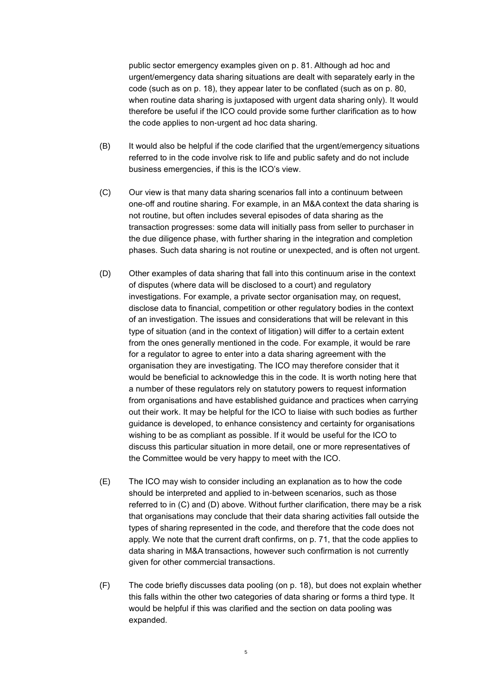public sector emergency examples given on p. 81. Although ad hoc and urgent/emergency data sharing situations are dealt with separately early in the code (such as on p. 18), they appear later to be conflated (such as on p. 80, when routine data sharing is juxtaposed with urgent data sharing only). It would therefore be useful if the ICO could provide some further clarification as to how the code applies to non-urgent ad hoc data sharing.

- (B) It would also be helpful if the code clarified that the urgent/emergency situations referred to in the code involve risk to life and public safety and do not include business emergencies, if this is the ICO's view.
- <span id="page-4-0"></span>(C) Our view is that many data sharing scenarios fall into a continuum between one-off and routine sharing. For example, in an M&A context the data sharing is not routine, but often includes several episodes of data sharing as the transaction progresses: some data will initially pass from seller to purchaser in the due diligence phase, with further sharing in the integration and completion phases. Such data sharing is not routine or unexpected, and is often not urgent.
- <span id="page-4-1"></span>(D) Other examples of data sharing that fall into this continuum arise in the context of disputes (where data will be disclosed to a court) and regulatory investigations. For example, a private sector organisation may, on request, disclose data to financial, competition or other regulatory bodies in the context of an investigation. The issues and considerations that will be relevant in this type of situation (and in the context of litigation) will differ to a certain extent from the ones generally mentioned in the code. For example, it would be rare for a regulator to agree to enter into a data sharing agreement with the organisation they are investigating. The ICO may therefore consider that it would be beneficial to acknowledge this in the code. It is worth noting here that a number of these regulators rely on statutory powers to request information from organisations and have established guidance and practices when carrying out their work. It may be helpful for the ICO to liaise with such bodies as further guidance is developed, to enhance consistency and certainty for organisations wishing to be as compliant as possible. If it would be useful for the ICO to discuss this particular situation in more detail, one or more representatives of the Committee would be very happy to meet with the ICO.
- (E) The ICO may wish to consider including an explanation as to how the code should be interpreted and applied to in-between scenarios, such as those referred to in [\(C\)](#page-4-0) and [\(D\)](#page-4-1) above. Without further clarification, there may be a risk that organisations may conclude that their data sharing activities fall outside the types of sharing represented in the code, and therefore that the code does not apply. We note that the current draft confirms, on p. 71, that the code applies to data sharing in M&A transactions, however such confirmation is not currently given for other commercial transactions.
- (F) The code briefly discusses data pooling (on p. 18), but does not explain whether this falls within the other two categories of data sharing or forms a third type. It would be helpful if this was clarified and the section on data pooling was expanded.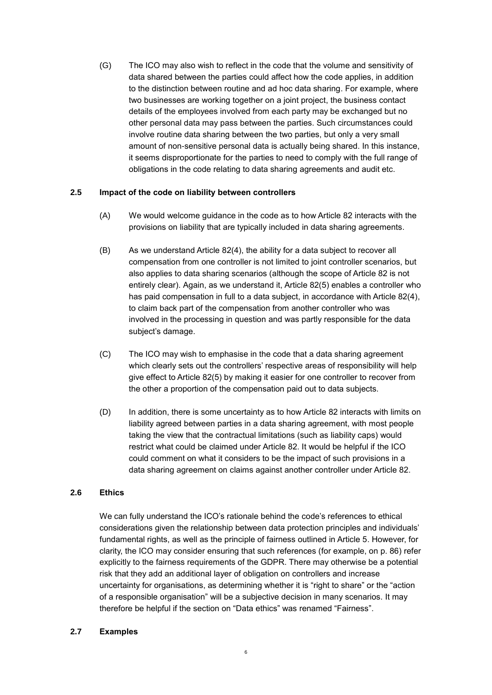(G) The ICO may also wish to reflect in the code that the volume and sensitivity of data shared between the parties could affect how the code applies, in addition to the distinction between routine and ad hoc data sharing. For example, where two businesses are working together on a joint project, the business contact details of the employees involved from each party may be exchanged but no other personal data may pass between the parties. Such circumstances could involve routine data sharing between the two parties, but only a very small amount of non-sensitive personal data is actually being shared. In this instance, it seems disproportionate for the parties to need to comply with the full range of obligations in the code relating to data sharing agreements and audit etc.

## **2.5 Impact of the code on liability between controllers**

- (A) We would welcome guidance in the code as to how Article 82 interacts with the provisions on liability that are typically included in data sharing agreements.
- (B) As we understand Article 82(4), the ability for a data subject to recover all compensation from one controller is not limited to joint controller scenarios, but also applies to data sharing scenarios (although the scope of Article 82 is not entirely clear). Again, as we understand it, Article 82(5) enables a controller who has paid compensation in full to a data subject, in accordance with Article 82(4), to claim back part of the compensation from another controller who was involved in the processing in question and was partly responsible for the data subject's damage.
- (C) The ICO may wish to emphasise in the code that a data sharing agreement which clearly sets out the controllers' respective areas of responsibility will help give effect to Article 82(5) by making it easier for one controller to recover from the other a proportion of the compensation paid out to data subjects.
- (D) In addition, there is some uncertainty as to how Article 82 interacts with limits on liability agreed between parties in a data sharing agreement, with most people taking the view that the contractual limitations (such as liability caps) would restrict what could be claimed under Article 82. It would be helpful if the ICO could comment on what it considers to be the impact of such provisions in a data sharing agreement on claims against another controller under Article 82.

## **2.6 Ethics**

We can fully understand the ICO's rationale behind the code's references to ethical considerations given the relationship between data protection principles and individuals' fundamental rights, as well as the principle of fairness outlined in Article 5. However, for clarity, the ICO may consider ensuring that such references (for example, on p. 86) refer explicitly to the fairness requirements of the GDPR. There may otherwise be a potential risk that they add an additional layer of obligation on controllers and increase uncertainty for organisations, as determining whether it is "right to share" or the "action of a responsible organisation" will be a subjective decision in many scenarios. It may therefore be helpful if the section on "Data ethics" was renamed "Fairness".

### **2.7 Examples**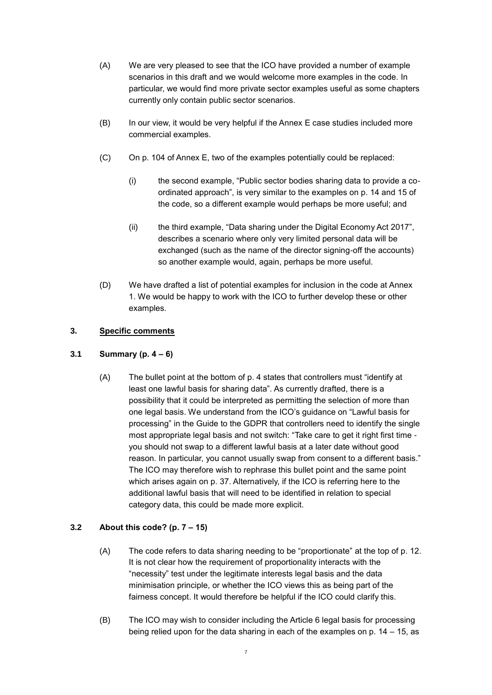- (A) We are very pleased to see that the ICO have provided a number of example scenarios in this draft and we would welcome more examples in the code. In particular, we would find more private sector examples useful as some chapters currently only contain public sector scenarios.
- (B) In our view, it would be very helpful if the Annex E case studies included more commercial examples.
- (C) On p. 104 of Annex E, two of the examples potentially could be replaced:
	- (i) the second example, "Public sector bodies sharing data to provide a coordinated approach", is very similar to the examples on p. 14 and 15 of the code, so a different example would perhaps be more useful; and
	- (ii) the third example, "Data sharing under the Digital Economy Act 2017", describes a scenario where only very limited personal data will be exchanged (such as the name of the director signing-off the accounts) so another example would, again, perhaps be more useful.
- (D) We have drafted a list of potential examples for inclusion in the code at Annex [1.](#page-16-0) We would be happy to work with the ICO to further develop these or other examples.

## **3. Specific comments**

### **3.1 Summary (p. 4 – 6)**

(A) The bullet point at the bottom of p. 4 states that controllers must "identify at least one lawful basis for sharing data". As currently drafted, there is a possibility that it could be interpreted as permitting the selection of more than one legal basis. We understand from the ICO's guidance on "Lawful basis for processing" in the Guide to the GDPR that controllers need to identify the single most appropriate legal basis and not switch: "Take care to get it right first time you should not swap to a different lawful basis at a later date without good reason. In particular, you cannot usually swap from consent to a different basis." The ICO may therefore wish to rephrase this bullet point and the same point which arises again on p. 37. Alternatively, if the ICO is referring here to the additional lawful basis that will need to be identified in relation to special category data, this could be made more explicit.

## **3.2 About this code? (p. 7 – 15)**

- (A) The code refers to data sharing needing to be "proportionate" at the top of p. 12. It is not clear how the requirement of proportionality interacts with the "necessity" test under the legitimate interests legal basis and the data minimisation principle, or whether the ICO views this as being part of the fairness concept. It would therefore be helpful if the ICO could clarify this.
- (B) The ICO may wish to consider including the Article 6 legal basis for processing being relied upon for the data sharing in each of the examples on p. 14 – 15, as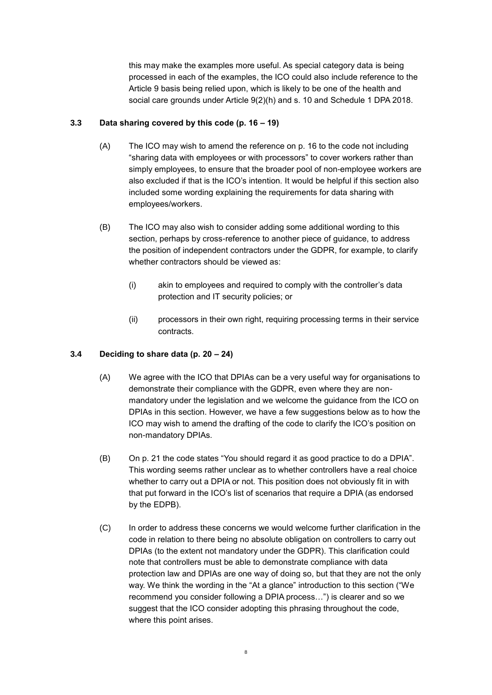this may make the examples more useful. As special category data is being processed in each of the examples, the ICO could also include reference to the Article 9 basis being relied upon, which is likely to be one of the health and social care grounds under Article 9(2)(h) and s. 10 and Schedule 1 DPA 2018.

## **3.3 Data sharing covered by this code (p. 16 – 19)**

- (A) The ICO may wish to amend the reference on p. 16 to the code not including "sharing data with employees or with processors" to cover workers rather than simply employees, to ensure that the broader pool of non-employee workers are also excluded if that is the ICO's intention. It would be helpful if this section also included some wording explaining the requirements for data sharing with employees/workers.
- (B) The ICO may also wish to consider adding some additional wording to this section, perhaps by cross-reference to another piece of guidance, to address the position of independent contractors under the GDPR, for example, to clarify whether contractors should be viewed as:
	- (i) akin to employees and required to comply with the controller's data protection and IT security policies; or
	- (ii) processors in their own right, requiring processing terms in their service contracts.

## **3.4 Deciding to share data (p. 20 – 24)**

- (A) We agree with the ICO that DPIAs can be a very useful way for organisations to demonstrate their compliance with the GDPR, even where they are nonmandatory under the legislation and we welcome the guidance from the ICO on DPIAs in this section. However, we have a few suggestions below as to how the ICO may wish to amend the drafting of the code to clarify the ICO's position on non-mandatory DPIAs.
- (B) On p. 21 the code states "You should regard it as good practice to do a DPIA". This wording seems rather unclear as to whether controllers have a real choice whether to carry out a DPIA or not. This position does not obviously fit in with that put forward in the ICO's list of scenarios that require a DPIA (as endorsed by the EDPB).
- (C) In order to address these concerns we would welcome further clarification in the code in relation to there being no absolute obligation on controllers to carry out DPIAs (to the extent not mandatory under the GDPR). This clarification could note that controllers must be able to demonstrate compliance with data protection law and DPIAs are one way of doing so, but that they are not the only way. We think the wording in the "At a glance" introduction to this section ("We recommend you consider following a DPIA process…") is clearer and so we suggest that the ICO consider adopting this phrasing throughout the code, where this point arises.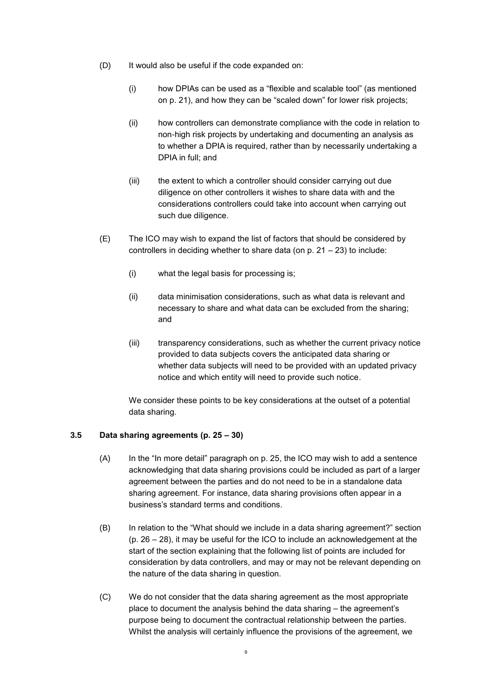- (D) It would also be useful if the code expanded on:
	- (i) how DPIAs can be used as a "flexible and scalable tool" (as mentioned on p. 21), and how they can be "scaled down" for lower risk projects;
	- (ii) how controllers can demonstrate compliance with the code in relation to non-high risk projects by undertaking and documenting an analysis as to whether a DPIA is required, rather than by necessarily undertaking a DPIA in full; and
	- (iii) the extent to which a controller should consider carrying out due diligence on other controllers it wishes to share data with and the considerations controllers could take into account when carrying out such due diligence.
- (E) The ICO may wish to expand the list of factors that should be considered by controllers in deciding whether to share data (on p. 21 – 23) to include:
	- (i) what the legal basis for processing is;
	- (ii) data minimisation considerations, such as what data is relevant and necessary to share and what data can be excluded from the sharing; and
	- (iii) transparency considerations, such as whether the current privacy notice provided to data subjects covers the anticipated data sharing or whether data subjects will need to be provided with an updated privacy notice and which entity will need to provide such notice.

We consider these points to be key considerations at the outset of a potential data sharing.

### **3.5 Data sharing agreements (p. 25 – 30)**

- (A) In the "In more detail" paragraph on p. 25, the ICO may wish to add a sentence acknowledging that data sharing provisions could be included as part of a larger agreement between the parties and do not need to be in a standalone data sharing agreement. For instance, data sharing provisions often appear in a business's standard terms and conditions.
- (B) In relation to the "What should we include in a data sharing agreement?" section (p. 26 – 28), it may be useful for the ICO to include an acknowledgement at the start of the section explaining that the following list of points are included for consideration by data controllers, and may or may not be relevant depending on the nature of the data sharing in question.
- (C) We do not consider that the data sharing agreement as the most appropriate place to document the analysis behind the data sharing – the agreement's purpose being to document the contractual relationship between the parties. Whilst the analysis will certainly influence the provisions of the agreement, we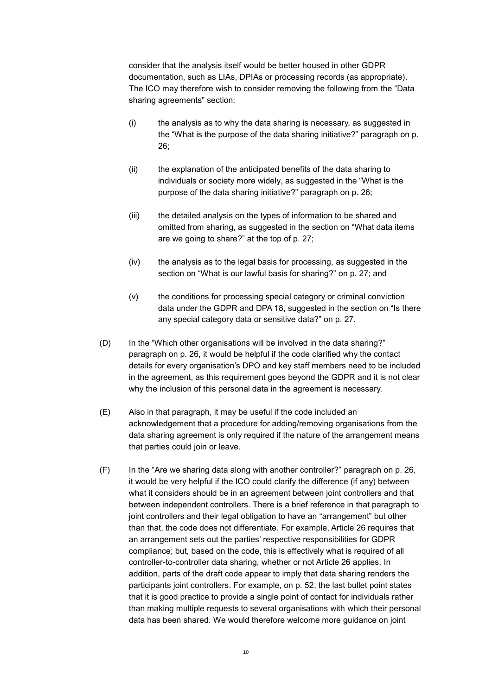consider that the analysis itself would be better housed in other GDPR documentation, such as LIAs, DPIAs or processing records (as appropriate). The ICO may therefore wish to consider removing the following from the "Data sharing agreements" section:

- (i) the analysis as to why the data sharing is necessary, as suggested in the "What is the purpose of the data sharing initiative?" paragraph on p. 26;
- (ii) the explanation of the anticipated benefits of the data sharing to individuals or society more widely, as suggested in the "What is the purpose of the data sharing initiative?" paragraph on p. 26;
- (iii) the detailed analysis on the types of information to be shared and omitted from sharing, as suggested in the section on "What data items are we going to share?" at the top of p. 27;
- (iv) the analysis as to the legal basis for processing, as suggested in the section on "What is our lawful basis for sharing?" on p. 27; and
- (v) the conditions for processing special category or criminal conviction data under the GDPR and DPA 18, suggested in the section on "Is there any special category data or sensitive data?" on p. 27.
- (D) In the "Which other organisations will be involved in the data sharing?" paragraph on p. 26, it would be helpful if the code clarified why the contact details for every organisation's DPO and key staff members need to be included in the agreement, as this requirement goes beyond the GDPR and it is not clear why the inclusion of this personal data in the agreement is necessary.
- (E) Also in that paragraph, it may be useful if the code included an acknowledgement that a procedure for adding/removing organisations from the data sharing agreement is only required if the nature of the arrangement means that parties could join or leave.
- (F) In the "Are we sharing data along with another controller?" paragraph on p. 26, it would be very helpful if the ICO could clarify the difference (if any) between what it considers should be in an agreement between joint controllers and that between independent controllers. There is a brief reference in that paragraph to joint controllers and their legal obligation to have an "arrangement" but other than that, the code does not differentiate. For example, Article 26 requires that an arrangement sets out the parties' respective responsibilities for GDPR compliance; but, based on the code, this is effectively what is required of all controller-to-controller data sharing, whether or not Article 26 applies. In addition, parts of the draft code appear to imply that data sharing renders the participants joint controllers. For example, on p. 52, the last bullet point states that it is good practice to provide a single point of contact for individuals rather than making multiple requests to several organisations with which their personal data has been shared. We would therefore welcome more guidance on joint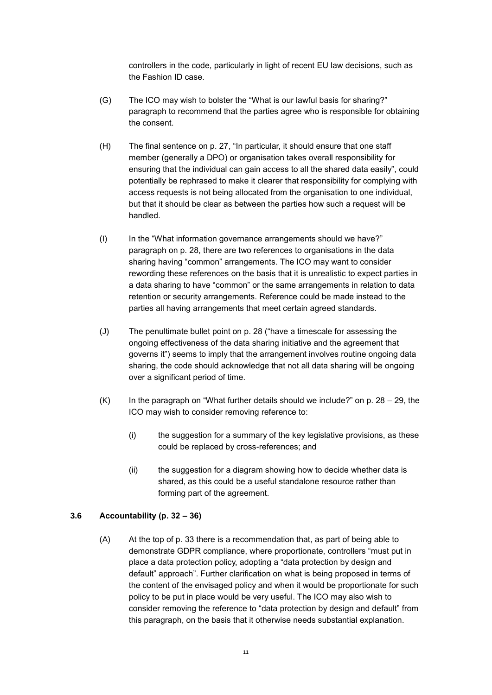controllers in the code, particularly in light of recent EU law decisions, such as the Fashion ID case.

- (G) The ICO may wish to bolster the "What is our lawful basis for sharing?" paragraph to recommend that the parties agree who is responsible for obtaining the consent.
- (H) The final sentence on p. 27, "In particular, it should ensure that one staff member (generally a DPO) or organisation takes overall responsibility for ensuring that the individual can gain access to all the shared data easily", could potentially be rephrased to make it clearer that responsibility for complying with access requests is not being allocated from the organisation to one individual, but that it should be clear as between the parties how such a request will be handled.
- (I) In the "What information governance arrangements should we have?" paragraph on p. 28, there are two references to organisations in the data sharing having "common" arrangements. The ICO may want to consider rewording these references on the basis that it is unrealistic to expect parties in a data sharing to have "common" or the same arrangements in relation to data retention or security arrangements. Reference could be made instead to the parties all having arrangements that meet certain agreed standards.
- (J) The penultimate bullet point on p. 28 ("have a timescale for assessing the ongoing effectiveness of the data sharing initiative and the agreement that governs it") seems to imply that the arrangement involves routine ongoing data sharing, the code should acknowledge that not all data sharing will be ongoing over a significant period of time.
- $(K)$  In the paragraph on "What further details should we include?" on p. 28 29, the ICO may wish to consider removing reference to:
	- (i) the suggestion for a summary of the key legislative provisions, as these could be replaced by cross-references; and
	- (ii) the suggestion for a diagram showing how to decide whether data is shared, as this could be a useful standalone resource rather than forming part of the agreement.

### **3.6 Accountability (p. 32 – 36)**

(A) At the top of p. 33 there is a recommendation that, as part of being able to demonstrate GDPR compliance, where proportionate, controllers "must put in place a data protection policy, adopting a "data protection by design and default" approach". Further clarification on what is being proposed in terms of the content of the envisaged policy and when it would be proportionate for such policy to be put in place would be very useful. The ICO may also wish to consider removing the reference to "data protection by design and default" from this paragraph, on the basis that it otherwise needs substantial explanation.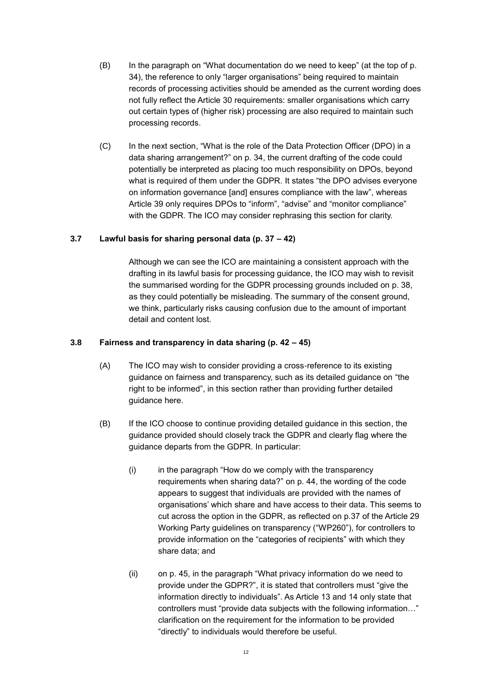- (B) In the paragraph on "What documentation do we need to keep" (at the top of p. 34), the reference to only "larger organisations" being required to maintain records of processing activities should be amended as the current wording does not fully reflect the Article 30 requirements: smaller organisations which carry out certain types of (higher risk) processing are also required to maintain such processing records.
- (C) In the next section, "What is the role of the Data Protection Officer (DPO) in a data sharing arrangement?" on p. 34, the current drafting of the code could potentially be interpreted as placing too much responsibility on DPOs, beyond what is required of them under the GDPR. It states "the DPO advises everyone on information governance [and] ensures compliance with the law", whereas Article 39 only requires DPOs to "inform", "advise" and "monitor compliance" with the GDPR. The ICO may consider rephrasing this section for clarity.

### **3.7 Lawful basis for sharing personal data (p. 37 – 42)**

Although we can see the ICO are maintaining a consistent approach with the drafting in its lawful basis for processing guidance, the ICO may wish to revisit the summarised wording for the GDPR processing grounds included on p. 38, as they could potentially be misleading. The summary of the consent ground, we think, particularly risks causing confusion due to the amount of important detail and content lost.

### **3.8 Fairness and transparency in data sharing (p. 42 – 45)**

- (A) The ICO may wish to consider providing a cross-reference to its existing guidance on fairness and transparency, such as its detailed guidance on "the right to be informed", in this section rather than providing further detailed guidance here.
- (B) If the ICO choose to continue providing detailed guidance in this section, the guidance provided should closely track the GDPR and clearly flag where the guidance departs from the GDPR. In particular:
	- (i) in the paragraph "How do we comply with the transparency requirements when sharing data?" on p. 44, the wording of the code appears to suggest that individuals are provided with the names of organisations' which share and have access to their data. This seems to cut across the option in the GDPR, as reflected on p.37 of the Article 29 Working Party guidelines on transparency ("WP260"), for controllers to provide information on the "categories of recipients" with which they share data; and
	- (ii) on p. 45, in the paragraph "What privacy information do we need to provide under the GDPR?", it is stated that controllers must "give the information directly to individuals". As Article 13 and 14 only state that controllers must "provide data subjects with the following information…" clarification on the requirement for the information to be provided "directly" to individuals would therefore be useful.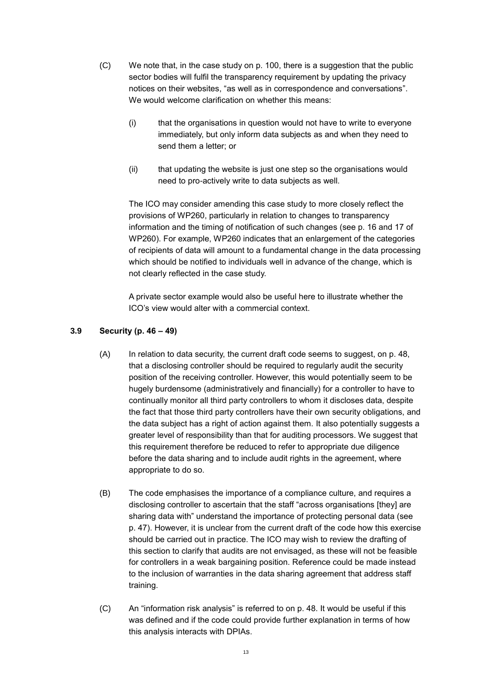- (C) We note that, in the case study on p. 100, there is a suggestion that the public sector bodies will fulfil the transparency requirement by updating the privacy notices on their websites, "as well as in correspondence and conversations". We would welcome clarification on whether this means:
	- (i) that the organisations in question would not have to write to everyone immediately, but only inform data subjects as and when they need to send them a letter; or
	- (ii) that updating the website is just one step so the organisations would need to pro-actively write to data subjects as well.

The ICO may consider amending this case study to more closely reflect the provisions of WP260, particularly in relation to changes to transparency information and the timing of notification of such changes (see p. 16 and 17 of WP260). For example, WP260 indicates that an enlargement of the categories of recipients of data will amount to a fundamental change in the data processing which should be notified to individuals well in advance of the change, which is not clearly reflected in the case study.

A private sector example would also be useful here to illustrate whether the ICO's view would alter with a commercial context.

## **3.9 Security (p. 46 – 49)**

- (A) In relation to data security, the current draft code seems to suggest, on p. 48, that a disclosing controller should be required to regularly audit the security position of the receiving controller. However, this would potentially seem to be hugely burdensome (administratively and financially) for a controller to have to continually monitor all third party controllers to whom it discloses data, despite the fact that those third party controllers have their own security obligations, and the data subject has a right of action against them. It also potentially suggests a greater level of responsibility than that for auditing processors. We suggest that this requirement therefore be reduced to refer to appropriate due diligence before the data sharing and to include audit rights in the agreement, where appropriate to do so.
- (B) The code emphasises the importance of a compliance culture, and requires a disclosing controller to ascertain that the staff "across organisations [they] are sharing data with" understand the importance of protecting personal data (see p. 47). However, it is unclear from the current draft of the code how this exercise should be carried out in practice. The ICO may wish to review the drafting of this section to clarify that audits are not envisaged, as these will not be feasible for controllers in a weak bargaining position. Reference could be made instead to the inclusion of warranties in the data sharing agreement that address staff training.
- (C) An "information risk analysis" is referred to on p. 48. It would be useful if this was defined and if the code could provide further explanation in terms of how this analysis interacts with DPIAs.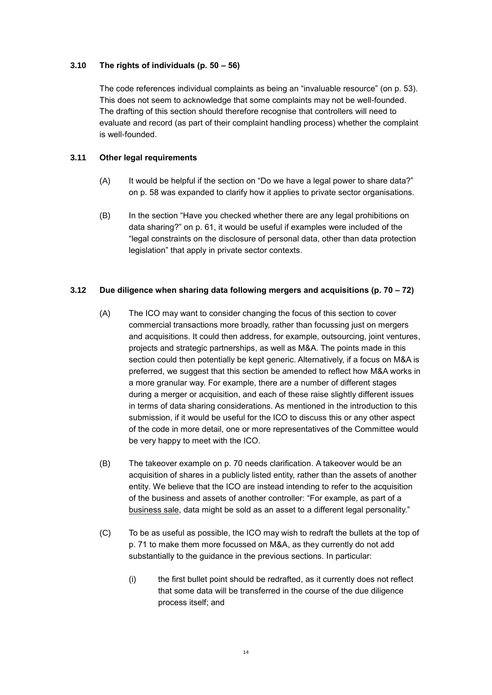### **3.10 The rights of individuals (p. 50 – 56)**

The code references individual complaints as being an "invaluable resource" (on p. 53). This does not seem to acknowledge that some complaints may not be well-founded. The drafting of this section should therefore recognise that controllers will need to evaluate and record (as part of their complaint handling process) whether the complaint is well-founded.

## **3.11 Other legal requirements**

- (A) It would be helpful if the section on "Do we have a legal power to share data?" on p. 58 was expanded to clarify how it applies to private sector organisations.
- (B) In the section "Have you checked whether there are any legal prohibitions on data sharing?" on p. 61, it would be useful if examples were included of the "legal constraints on the disclosure of personal data, other than data protection legislation" that apply in private sector contexts.

## **3.12 Due diligence when sharing data following mergers and acquisitions (p. 70 – 72)**

- (A) The ICO may want to consider changing the focus of this section to cover commercial transactions more broadly, rather than focussing just on mergers and acquisitions. It could then address, for example, outsourcing, joint ventures, projects and strategic partnerships, as well as M&A. The points made in this section could then potentially be kept generic. Alternatively, if a focus on M&A is preferred, we suggest that this section be amended to reflect how M&A works in a more granular way. For example, there are a number of different stages during a merger or acquisition, and each of these raise slightly different issues in terms of data sharing considerations. As mentioned in the introduction to this submission, if it would be useful for the ICO to discuss this or any other aspect of the code in more detail, one or more representatives of the Committee would be very happy to meet with the ICO.
- (B) The takeover example on p. 70 needs clarification. A takeover would be an acquisition of shares in a publicly listed entity, rather than the assets of another entity. We believe that the ICO are instead intending to refer to the acquisition of the business and assets of another controller: "For example, as part of a business sale, data might be sold as an asset to a different legal personality."
- (C) To be as useful as possible, the ICO may wish to redraft the bullets at the top of p. 71 to make them more focussed on M&A, as they currently do not add substantially to the guidance in the previous sections. In particular:
	- (i) the first bullet point should be redrafted, as it currently does not reflect that some data will be transferred in the course of the due diligence process itself; and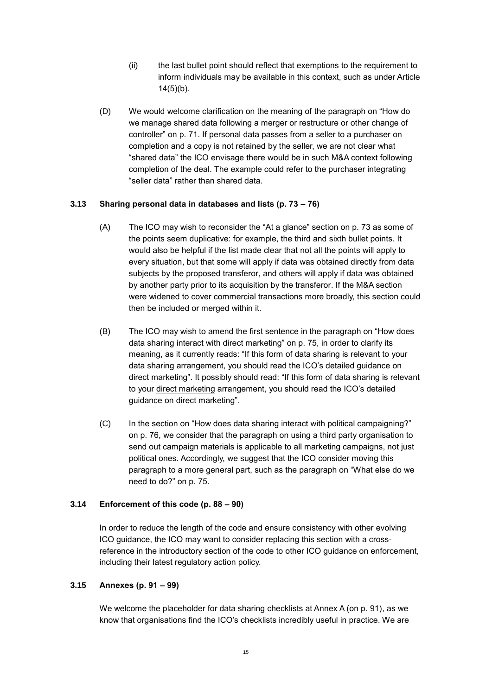- (ii) the last bullet point should reflect that exemptions to the requirement to inform individuals may be available in this context, such as under Article 14(5)(b).
- (D) We would welcome clarification on the meaning of the paragraph on "How do we manage shared data following a merger or restructure or other change of controller" on p. 71. If personal data passes from a seller to a purchaser on completion and a copy is not retained by the seller, we are not clear what "shared data" the ICO envisage there would be in such M&A context following completion of the deal. The example could refer to the purchaser integrating "seller data" rather than shared data.

### **3.13 Sharing personal data in databases and lists (p. 73 – 76)**

- (A) The ICO may wish to reconsider the "At a glance" section on p. 73 as some of the points seem duplicative: for example, the third and sixth bullet points. It would also be helpful if the list made clear that not all the points will apply to every situation, but that some will apply if data was obtained directly from data subjects by the proposed transferor, and others will apply if data was obtained by another party prior to its acquisition by the transferor. If the M&A section were widened to cover commercial transactions more broadly, this section could then be included or merged within it.
- (B) The ICO may wish to amend the first sentence in the paragraph on "How does data sharing interact with direct marketing" on p. 75, in order to clarify its meaning, as it currently reads: "If this form of data sharing is relevant to your data sharing arrangement, you should read the ICO's detailed guidance on direct marketing". It possibly should read: "If this form of data sharing is relevant to your direct marketing arrangement, you should read the ICO's detailed guidance on direct marketing".
- (C) In the section on "How does data sharing interact with political campaigning?" on p. 76, we consider that the paragraph on using a third party organisation to send out campaign materials is applicable to all marketing campaigns, not just political ones. Accordingly, we suggest that the ICO consider moving this paragraph to a more general part, such as the paragraph on "What else do we need to do?" on p. 75.

## **3.14 Enforcement of this code (p. 88 – 90)**

In order to reduce the length of the code and ensure consistency with other evolving ICO guidance, the ICO may want to consider replacing this section with a crossreference in the introductory section of the code to other ICO guidance on enforcement, including their latest regulatory action policy.

### **3.15 Annexes (p. 91 – 99)**

We welcome the placeholder for data sharing checklists at Annex A (on p. 91), as we know that organisations find the ICO's checklists incredibly useful in practice. We are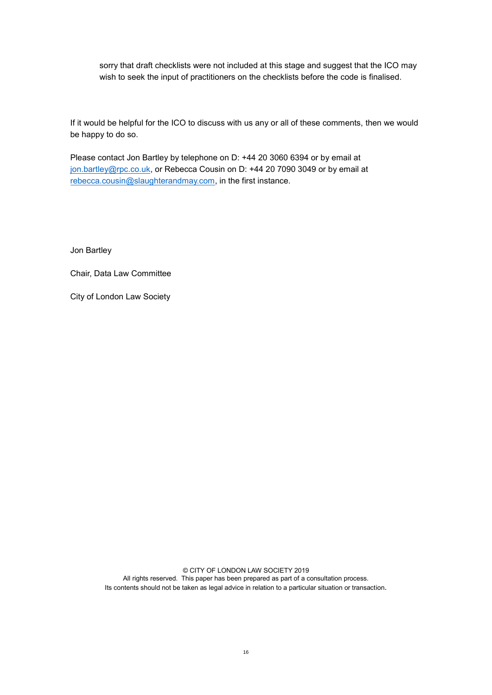sorry that draft checklists were not included at this stage and suggest that the ICO may wish to seek the input of practitioners on the checklists before the code is finalised.

If it would be helpful for the ICO to discuss with us any or all of these comments, then we would be happy to do so.

Please contact Jon Bartley by telephone on D: +44 20 3060 6394 or by email at [jon.bartley@rpc.co.uk,](mailto:jon.bartley@rpc.co.uk) or Rebecca Cousin on D: +44 20 7090 3049 or by email at [rebecca.cousin@slaughterandmay.com,](mailto:rebecca.cousin@slaughterandmay.com) in the first instance.

Jon Bartley

Chair, Data Law Committee

City of London Law Society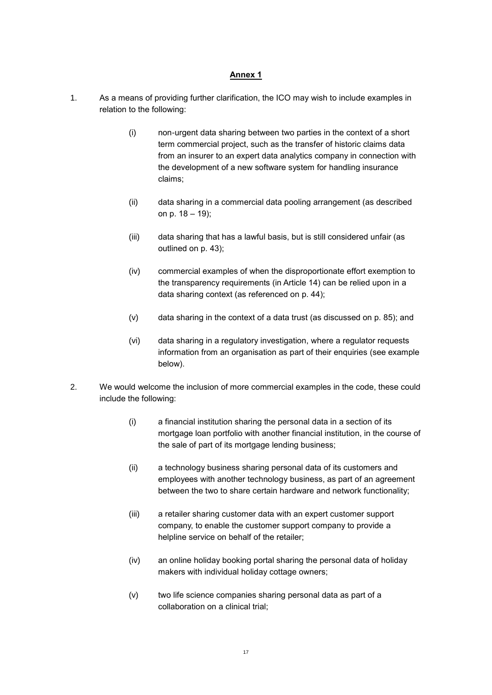### **Annex 1**

- <span id="page-16-0"></span>1. As a means of providing further clarification, the ICO may wish to include examples in relation to the following:
	- (i) non-urgent data sharing between two parties in the context of a short term commercial project, such as the transfer of historic claims data from an insurer to an expert data analytics company in connection with the development of a new software system for handling insurance claims;
	- (ii) data sharing in a commercial data pooling arrangement (as described on p. 18 – 19);
	- (iii) data sharing that has a lawful basis, but is still considered unfair (as outlined on p. 43);
	- (iv) commercial examples of when the disproportionate effort exemption to the transparency requirements (in Article 14) can be relied upon in a data sharing context (as referenced on p. 44);
	- (v) data sharing in the context of a data trust (as discussed on p. 85); and
	- (vi) data sharing in a regulatory investigation, where a regulator requests information from an organisation as part of their enquiries (see example below).
- 2. We would welcome the inclusion of more commercial examples in the code, these could include the following:
	- (i) a financial institution sharing the personal data in a section of its mortgage loan portfolio with another financial institution, in the course of the sale of part of its mortgage lending business;
	- (ii) a technology business sharing personal data of its customers and employees with another technology business, as part of an agreement between the two to share certain hardware and network functionality;
	- (iii) a retailer sharing customer data with an expert customer support company, to enable the customer support company to provide a helpline service on behalf of the retailer;
	- (iv) an online holiday booking portal sharing the personal data of holiday makers with individual holiday cottage owners;
	- (v) two life science companies sharing personal data as part of a collaboration on a clinical trial;